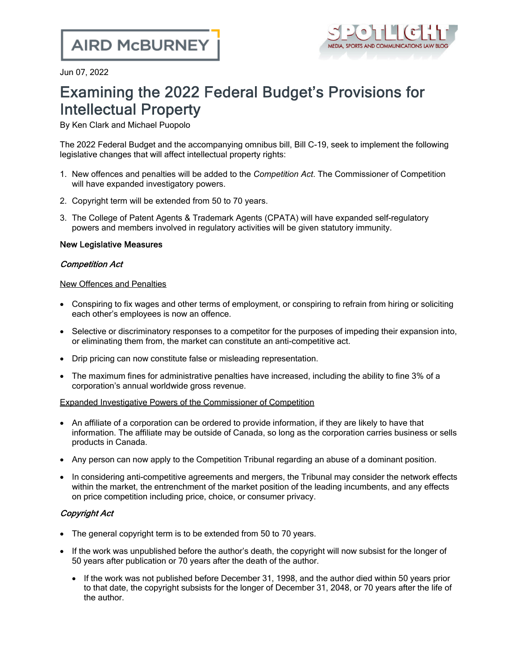

Jun 07, 2022

# Examining the 2022 Federal Budget's Provisions for Intellectual Property

By Ken Clark and Michael Puopolo

The 2022 [Federal](https://budget.gc.ca/2022/home-accueil-en.html) Budget and the accompanying omnibus bill, Bill [C-19,](https://www.parl.ca/DocumentViewer/en/44-1/bill/C-19/first-reading) seek to implement the following legislative changes that will affect intellectual property rights:

- 1. New offences and penalties will be added to the *Competition Act*. The Commissioner of Competition will have expanded investigatory powers.
- 2. Copyright term will be extended from 50 to 70 years.
- 3. The College of Patent Agents & Trademark Agents (CPATA) will have expanded self-regulatory powers and members involved in regulatory activities will be given statutory immunity.

# New Legislative Measures

## Competition Act

## New Offences and Penalties

- · Conspiring to fix wages and other terms of employment, or conspiring to refrain from hiring or soliciting each other's employees is now an offence.
- · Selective or discriminatory responses to a competitor for the purposes of impeding their expansion into, or eliminating them from, the market can constitute an anti-competitive act.
- · Drip [pricing](https://www.investopedia.com/terms/d/drip-pricing.asp#:~:text=Drip%20pricing%20is%20a%20pricing%20technique%20where%20only,revealed%20at%20the%20end%20of%20the%20buying%20process.) can now constitute false or misleading representation.
- · The maximum fines for administrative penalties have increased, including the ability to fine 3% of a corporation's annual worldwide gross revenue.

# Expanded Investigative Powers of the Commissioner of Competition

- · An affiliate of a corporation can be ordered to provide information, if they are likely to have that information. The affiliate may be outside of Canada, so long as the corporation carries business or sells products in Canada.
- · Any person can now apply to the Competition Tribunal regarding an abuse of a dominant position.
- In considering anti-competitive agreements and mergers, the Tribunal may consider the network effects within the market, the entrenchment of the market position of the leading incumbents, and any effects on price competition including price, choice, or consumer privacy.

# Copyright Act

- The general copyright term is to be extended from 50 to 70 years.
- If the work was unpublished before the author's death, the copyright will now subsist for the longer of 50 years after publication or 70 years after the death of the author.
	- · If the work was not published before December 31, 1998, and the author died within 50 years prior to that date, the copyright subsists for the longer of December 31, 2048, or 70 years after the life of the author.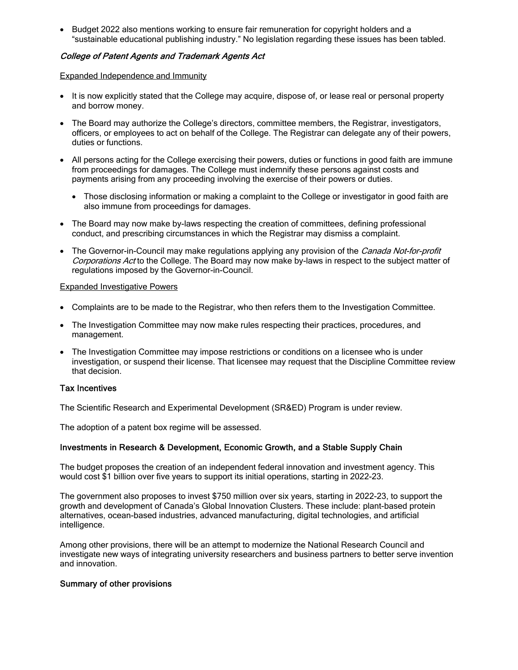· Budget 2022 also mentions working to ensure fair remuneration for copyright holders and a "sustainable educational publishing industry." No legislation regarding these issues has been tabled.

#### College of Patent Agents and Trademark Agents Act

Expanded Independence and Immunity

- It is now explicitly stated that the College may acquire, dispose of, or lease real or personal property and borrow money.
- · The Board may authorize the College's directors, committee members, the Registrar, investigators, officers, or employees to act on behalf of the College. The Registrar can delegate any of their powers, duties or functions.
- · All persons acting for the College exercising their powers, duties or functions in good faith are immune from proceedings for damages. The College must indemnify these persons against costs and payments arising from any proceeding involving the exercise of their powers or duties.
	- · Those disclosing information or making a complaint to the College or investigator in good faith are also immune from proceedings for damages.
- The Board may now make by-laws respecting the creation of committees, defining professional conduct, and prescribing circumstances in which the Registrar may dismiss a complaint.
- The Governor-in-Council may make regulations applying any provision of the Canada Not-for-profit Corporations Act to the College. The Board may now make by-laws in respect to the subject matter of regulations imposed by the Governor-in-Council.

#### Expanded Investigative Powers

- · Complaints are to be made to the Registrar, who then refers them to the Investigation Committee.
- · The Investigation Committee may now make rules respecting their practices, procedures, and management.
- The Investigation Committee may impose restrictions or conditions on a licensee who is under investigation, or suspend their license. That licensee may request that the Discipline Committee review that decision.

#### Tax Incentives

The Scientific Research and Experimental [Development](https://www.canada.ca/en/revenue-agency/services/scientific-research-experimental-development-tax-incentive-program.html) (SR&ED) Program is under review.

The adoption of a patent box [regime](https://taxfoundation.org/tax-basics/patent-box/) will be assessed.

#### Investments in Research & Development, Economic Growth, and a Stable Supply Chain

The budget proposes the creation of an independent federal innovation and investment agency. This would cost \$1 billion over five years to support its initial operations, starting in 2022-23.

The government also proposes to invest \$750 million over six years, starting in 2022-23, to support the growth and development of Canada's Global [Innovation](https://ised-isde.canada.ca/site/innovation-superclusters-initiative/en/about-canadas-innovation-superclusters-initiative) Clusters. These include: plant-based protein alternatives, ocean-based industries, advanced manufacturing, digital technologies, and artificial intelligence.

Among other provisions, there will be an attempt to modernize the National [Research](https://nrc.canada.ca/en/) Council and investigate new ways of integrating university researchers and business partners to better serve invention and innovation.

#### Summary of other provisions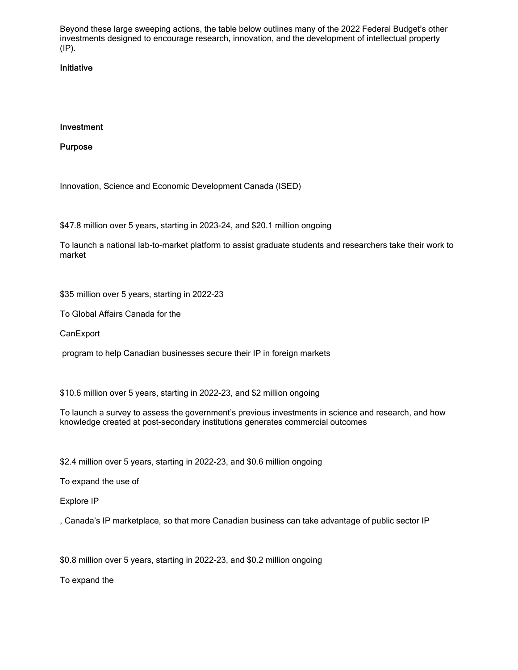Beyond these large sweeping actions, the table below outlines many of the 2022 Federal Budget's other investments designed to encourage research, innovation, and the development of intellectual property (IP).

#### Initiative

#### Investment

Purpose

Innovation, Science and Economic [Development](https://www.ic.gc.ca/eic/site/icgc.nsf/eng/home) Canada (ISED)

\$47.8 million over 5 years, starting in 2023-24, and \$20.1 million ongoing

To launch a national lab-to-market platform to assist graduate students and researchers take their work to market

\$35 million over 5 years, starting in 2022-23

To Global Affairs Canada for the

**[CanExport](https://www.tradecommissioner.gc.ca/funding-financement/canexport/index.aspx)** 

program to help Canadian businesses secure their IP in foreign markets

\$10.6 million over 5 years, starting in 2022-23, and \$2 million ongoing

To launch a survey to assess the government's previous investments in science and research, and how knowledge created at post-secondary institutions generates commercial outcomes

\$2.4 million over 5 years, starting in 2022-23, and \$0.6 million ongoing

To expand the use of

[Explore](https://ised-isde.canada.ca/ipm-mcpi/) IP

, Canada's IP marketplace, so that more Canadian business can take advantage of public sector IP

\$0.8 million over 5 years, starting in 2022-23, and \$0.2 million ongoing

To expand the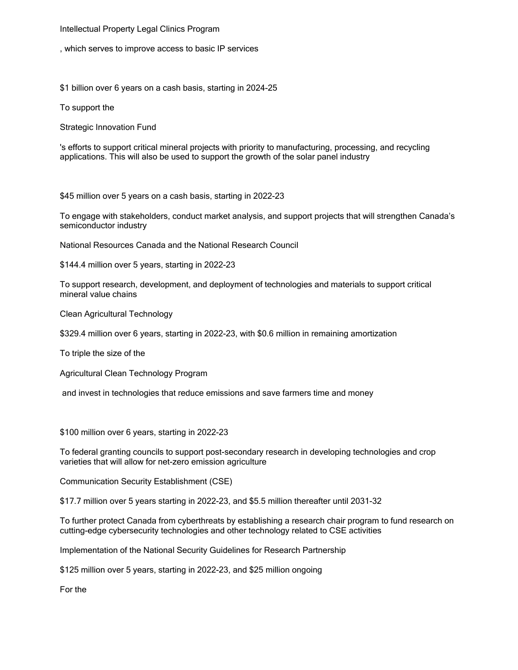#### [Intellectual](https://www.ic.gc.ca/eic/site/108.nsf/eng/h_00008.html) Property Legal Clinics Program

, which serves to improve access to basic IP services

\$1 billion over 6 years on a cash basis, starting in 2024-25

To support the

Strategic [Innovation](https://ic.gc.ca/eic/site/125.nsf/eng/h_00000.html) Fund

's efforts to support critical mineral projects with priority to manufacturing, processing, and recycling applications. This will also be used to support the growth of the solar panel industry

\$45 million over 5 years on a cash basis, starting in 2022-23

To engage with stakeholders, conduct market analysis, and support projects that will strengthen Canada's semiconductor industry

National Resources Canada and the National Research Council

\$144.4 million over 5 years, starting in 2022-23

To support research, development, and deployment of technologies and materials to support critical mineral value chains

Clean Agricultural Technology

\$329.4 million over 6 years, starting in 2022-23, with \$0.6 million in remaining amortization

To triple the size of the

Agricultural Clean [Technology](https://www.canada.ca/en/agriculture-agri-food/news/2020/10/agricultural-clean-technology-program.html) Program

and invest in technologies that reduce emissions and save farmers time and money

\$100 million over 6 years, starting in 2022-23

To federal granting councils to support post-secondary research in developing technologies and crop varieties that will allow for net-zero emission agriculture

[Communication](https://www.cse-cst.gc.ca/en) Security Establishment (CSE)

\$17.7 million over 5 years starting in 2022-23, and \$5.5 million thereafter until 2031-32

To further protect Canada from cyberthreats by establishing a research chair program to fund research on cutting-edge cybersecurity technologies and other technology related to CSE activities

Implementation of the National Security Guidelines for Research Partnership

\$125 million over 5 years, starting in 2022-23, and \$25 million ongoing

For the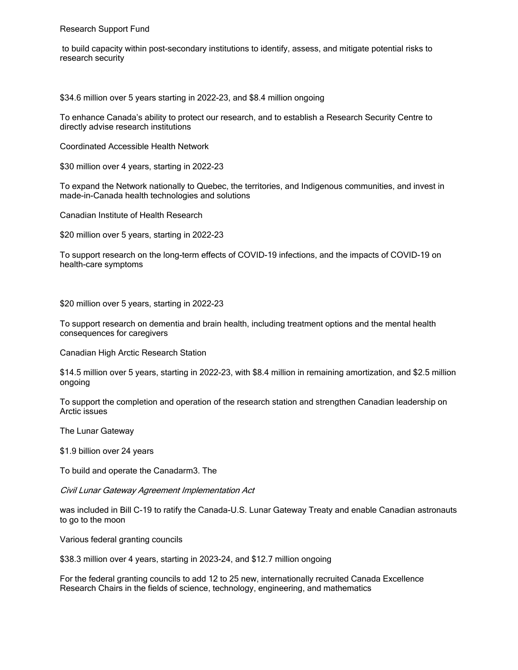[Research](https://www.rsf-fsr.gc.ca/home-accueil-eng.aspx) Support Fund

 to build capacity within post-secondary institutions to identify, assess, and mitigate potential risks to research security

\$34.6 million over 5 years starting in 2022-23, and \$8.4 million ongoing

To enhance Canada's ability to protect our research, and to establish a Research Security Centre to directly advise research institutions

[Coordinated](https://canhealthnetwork.ca/) Accessible Health Network

\$30 million over 4 years, starting in 2022-23

To expand the Network nationally to Quebec, the territories, and Indigenous communities, and invest in made-in-Canada health technologies and solutions

Canadian Institute of Health [Research](https://cihr-irsc.gc.ca/e/193.html)

\$20 million over 5 years, starting in 2022-23

To support research on the long-term effects of COVID-19 infections, and the impacts of COVID-19 on health-care symptoms

\$20 million over 5 years, starting in 2022-23

To support research on dementia and brain health, including treatment options and the mental health consequences for caregivers

Canadian High Arctic [Research](https://www.canada.ca/en/polar-knowledge/CHARScampus.html) Station

\$14.5 million over 5 years, starting in 2022-23, with \$8.4 million in remaining amortization, and \$2.5 million ongoing

To support the completion and operation of the research station and strengthen Canadian leadership on Arctic issues

The Lunar [Gateway](https://www.asc-csa.gc.ca/eng/astronomy/moon-exploration/lunar-gateway.asp)

\$1.9 billion over 24 years

To build and operate the Canadarm3. The

Civil Lunar Gateway Agreement Implementation Act

was included in Bill C-19 to ratify the Canada-U.S. Lunar Gateway Treaty and enable Canadian astronauts to go to the moon

Various federal granting councils

\$38.3 million over 4 years, starting in 2023-24, and \$12.7 million ongoing

For the federal granting councils to add 12 to 25 new, internationally recruited Canada Excellence Research Chairs in the fields of science, technology, engineering, and mathematics